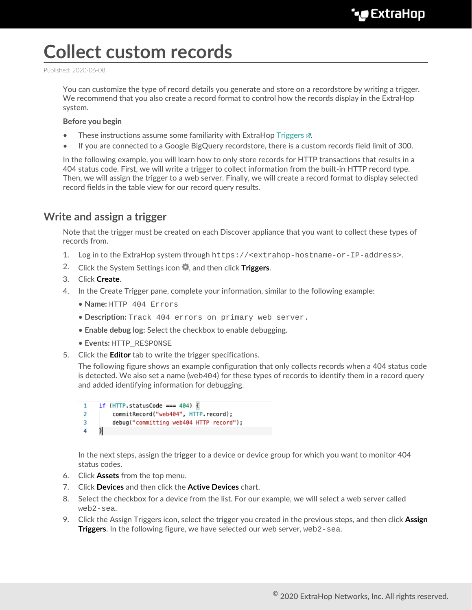# **Collect custom records**

Published: 2020-06-08

You can customize the type of record details you generate and store on a recordstore by writing a trigger. We recommend that you also create a record format to control how the records display in the ExtraHop system.

#### **Before you begin**

- These instructions assume some familiarity with ExtraHop [Triggers](https://docs.extrahop.com/8.1/triggers-overview) **...**
- If you are connected to a Google BigQuery recordstore, there is a custom records field limit of 300.

In the following example, you will learn how to only store records for HTTP transactions that results in a 404 status code. First, we will write a trigger to collect information from the built-in HTTP record type. Then, we will assign the trigger to a web server. Finally, we will create a record format to display selected record fields in the table view for our record query results.

### **Write and assign a trigger**

Note that the trigger must be created on each Discover appliance that you want to collect these types of records from.

- 1. Log in to the ExtraHop system through https://<extrahop-hostname-or-IP-address>.
- 2. Click the System Settings icon , and then click **Triggers**.
- 3. Click **Create**.
- 4. In the Create Trigger pane, complete your information, similar to the following example:
	- **Name:** HTTP 404 Errors
	- **Description:** Track 404 errors on primary web server.
	- **Enable debug log:** Select the checkbox to enable debugging.
	- **Events:** HTTP\_RESPONSE
- 5. Click the **Editor** tab to write the trigger specifications.

The following figure shows an example configuration that only collects records when a 404 status code is detected. We also set a name ( $w \in \{404\}$  for these types of records to identify them in a record query and added identifying information for debugging.

```
if (HTTP.statusCode === 404) \sqrt{2}\mathbf{1}\overline{2}commitRecord("web404", HTTP.record);
3
          debug("committing web404 HTTP record");
     }
4
```
In the next steps, assign the trigger to a device or device group for which you want to monitor 404 status codes.

- 6. Click **Assets** from the top menu.
- 7. Click **Devices** and then click the **Active Devices** chart.
- 8. Select the checkbox for a device from the list. For our example, we will select a web server called web2-sea.
- 9. Click the Assign Triggers icon, select the trigger you created in the previous steps, and then click **Assign Triggers**. In the following figure, we have selected our web server, web2-sea.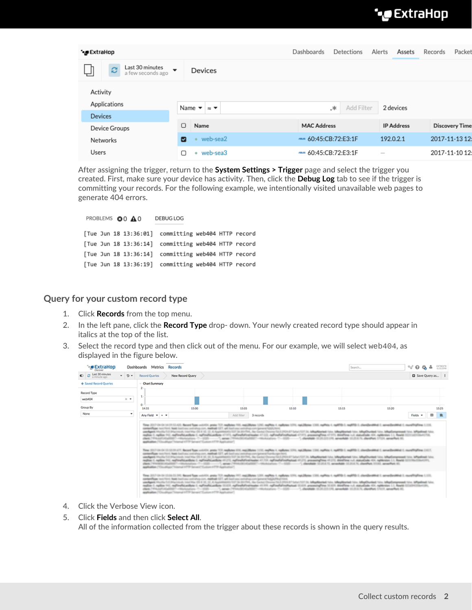# **°∙e** ExtraHop

| <b>°∙@</b> ExtraHop                                                   |   |                                | Dashboards                  |    | Detections | Alerts | Assets            | Records | Packet                |
|-----------------------------------------------------------------------|---|--------------------------------|-----------------------------|----|------------|--------|-------------------|---------|-----------------------|
| Last 30 minutes<br>Ø<br>$\overline{\phantom{a}}$<br>a few seconds ago |   | Devices                        |                             |    |            |        |                   |         |                       |
| Activity                                                              |   |                                |                             |    |            |        |                   |         |                       |
| Applications                                                          |   | Name $\bullet \approx \bullet$ |                             | .∗ | Add Filter |        | 2 devices         |         |                       |
| <b>Devices</b>                                                        |   |                                |                             |    |            |        |                   |         |                       |
| Device Groups                                                         | ∩ | Name                           | <b>MAC Address</b>          |    |            |        | <b>IP Address</b> |         | <b>Discovery Time</b> |
| Networks                                                              | ⊡ | web-sea2                       | $\approx$ 60:45:CB:72:E3:1F |    |            |        | 192.0.2.1         |         | 2017-11-13 12:        |
| Users                                                                 |   | web-sea3<br>۰                  | $\approx$ 60:45:CB:72:E3:1F |    |            |        | $\sim$            |         | 2017-11-10 12:        |

After assigning the trigger, return to the **System Settings > Trigger** page and select the trigger you created. First, make sure your device has activity. Then, click the **Debug Log** tab to see if the trigger is committing your records. For the following example, we intentionally visited unavailable web pages to generate 404 errors.

#### PROBLEMS **@0 A0** DEBUG LOG [Tue Jun 18 13:36:01] committing web404 HTTP record [Tue Jun 18 13:36:14] committing web404 HTTP record

[Tue Jun 18 13:36:14] committing web404 HTTP record [Tue Jun 18 13:36:19] committing web404 HTTP record

#### **Query for your custom record type**

- 1. Click **Records** from the top menu.
- 2. In the left pane, click the **Record Type** drop- down. Your newly created record type should appear in italics at the top of the list.
- 3. Select the record type and then click out of the menu. For our example, we will select web404, as displayed in the figure below.

|                                                                                 |   | Dashboards Metrics Records |                                                                                                          |            |           |                                                                                                                                                                                                                                | Search                                                                                                                                                                                                                                                                                                                                                                                                                                                    |       | % © ฉู≗                |          | <b>DOM/VE</b><br>4.1.6.1598 |
|---------------------------------------------------------------------------------|---|----------------------------|----------------------------------------------------------------------------------------------------------|------------|-----------|--------------------------------------------------------------------------------------------------------------------------------------------------------------------------------------------------------------------------------|-----------------------------------------------------------------------------------------------------------------------------------------------------------------------------------------------------------------------------------------------------------------------------------------------------------------------------------------------------------------------------------------------------------------------------------------------------------|-------|------------------------|----------|-----------------------------|
| $\bullet$ $\circ$ $\frac{\text{Lat 30 minutes}}{\text{a minutes area}}$<br>$-2$ |   | Record Queries             | New Record Query                                                                                         |            |           |                                                                                                                                                                                                                                |                                                                                                                                                                                                                                                                                                                                                                                                                                                           |       | <b>D</b> Save Query as |          |                             |
| + Saved Record Queries                                                          |   | <b>Chart Summary</b>       |                                                                                                          |            |           |                                                                                                                                                                                                                                |                                                                                                                                                                                                                                                                                                                                                                                                                                                           |       |                        |          |                             |
| Record Type                                                                     |   |                            |                                                                                                          |            |           |                                                                                                                                                                                                                                |                                                                                                                                                                                                                                                                                                                                                                                                                                                           |       |                        |          |                             |
| web404<br>$\times$ $\cdot$                                                      |   | $\overline{\phantom{a}}$   |                                                                                                          |            |           |                                                                                                                                                                                                                                |                                                                                                                                                                                                                                                                                                                                                                                                                                                           |       |                        |          |                             |
| Group By                                                                        |   | $\circ$<br>14:55           | 15.00                                                                                                    | 15.05      |           | 15:10                                                                                                                                                                                                                          | 15:15                                                                                                                                                                                                                                                                                                                                                                                                                                                     | 15:20 |                        |          | 15:25                       |
| None                                                                            | ٠ | Any Field v x v            |                                                                                                          | Add filter | 3 records |                                                                                                                                                                                                                                |                                                                                                                                                                                                                                                                                                                                                                                                                                                           |       | Fields =               | $\alpha$ | 量                           |
|                                                                                 |   |                            | contentivos text him). Noti backase univirus con moltade CET, all backase animites component futuristant |            |           | Time 2017-04-04 14:19:13:425. Becard Tupe until AL page TCF majlboter 1931, majlbotes 1230, majlbotes 1233, majlbotes 1233, majlbote 1, majlbote 1, majlbot 3, majlbote 2006 it and PDD 1, manifestibled 1, manifestibled 1, m | usedigent Murlin/1.0 Macrosob, Inst Mar OS X 10, 12. Al Australia/U/137 St 3017M, Bar Cecket Chronic/Sci 23134.87 Suburb 1314, Magdillanted Alix, Magdillanted Alix, Magdillanted Alix, Magdillanted Alix, Magdillanted Alix,<br>malion 1, radios 11), reglinalitatibate (1 reglinalitatibate 1711), reglinalial/estimates 1711), reglinalial/estimates 1717), presenteglinas (1717), distribute (1, data faste 10, reglination 11, Reade (1711)/113-1131 |       |                        |          |                             |

- 4. Click the Verbose View icon.
- 5. Click **Fields** and then click **Select All**. All of the information collected from the trigger about these records is shown in the query results.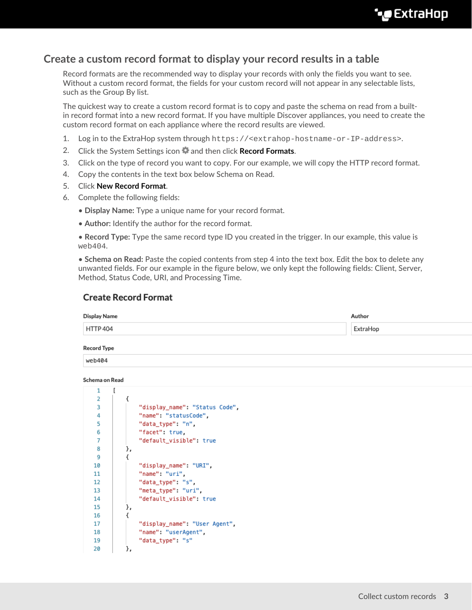## **Create a custom record format to display your record results in a table**

Record formats are the recommended way to display your records with only the fields you want to see. Without a custom record format, the fields for your custom record will not appear in any selectable lists, such as the Group By list.

The quickest way to create a custom record format is to copy and paste the schema on read from a builtin record format into a new record format. If you have multiple Discover appliances, you need to create the custom record format on each appliance where the record results are viewed.

- 1. Log in to the ExtraHop system through https://<extrahop-hostname-or-IP-address>.
- 2. Click the System Settings icon **and then click Record Formats.**
- 3. Click on the type of record you want to copy. For our example, we will copy the HTTP record format.
- 4. Copy the contents in the text box below Schema on Read.
- 5. Click **New Record Format**.
- 6. Complete the following fields:
	- **Display Name:** Type a unique name for your record format.
	- **Author:** Identify the author for the record format.

• **Record Type:** Type the same record type ID you created in the trigger. In our example, this value is web404.

• **Schema on Read:** Paste the copied contents from step 4 into the text box. Edit the box to delete any unwanted fields. For our example in the figure below, we only kept the following fields: Client, Server, Method, Status Code, URI, and Processing Time.

#### **Create Record Format**

| Display Name       | Author   |
|--------------------|----------|
| <b>HTTP 404</b>    | ExtraHop |
| <b>Record Type</b> |          |
| web404             |          |

#### Schema on Read

| л. | u  |                                |
|----|----|--------------------------------|
| 2  | ł  |                                |
| 3  |    | "display_name": "Status Code", |
| 4  |    | "name": "statusCode",          |
| 5  |    | "data_type": "n",              |
| 6  |    | "facet" true,                  |
| 7  |    | "default_visible": true        |
| 8  | }, |                                |
| 9  | ł  |                                |
| 10 |    | "display_name": "URI",         |
| 11 |    | "name" "uri".                  |
| 12 |    | "data_type": "s",              |
| 13 |    | "meta_type": "uri",            |
| 14 |    | "default_visible": true        |
| 15 | }, |                                |
| 16 | ₹  |                                |
| 17 |    | "display_name": "User Agent",  |
| 18 |    | "name": "userAgent",           |
| 19 |    | "data_type": "s"               |
| 20 | }, |                                |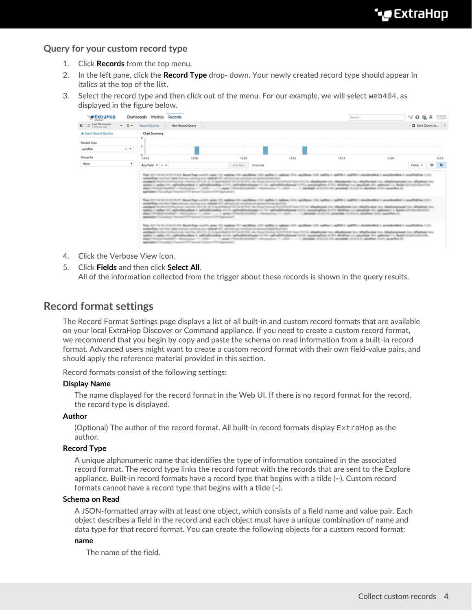#### **Query for your custom record type**

- 1. Click **Records** from the top menu.
- 2. In the left pane, click the **Record Type** drop- down. Your newly created record type should appear in italics at the top of the list.
- 3. Select the record type and then click out of the menu. For our example, we will select web404, as displayed in the figure below.

|                                   |                   | Dashboards Metrics Records |                  |            |           |       | Search                                                                                                                                                                                                                                                                                                                                                                                                                                          |       | $\sim$ 0 %             | 츸    | <b>DOM/VE</b><br>4.2.0.2598 |
|-----------------------------------|-------------------|----------------------------|------------------|------------|-----------|-------|-------------------------------------------------------------------------------------------------------------------------------------------------------------------------------------------------------------------------------------------------------------------------------------------------------------------------------------------------------------------------------------------------------------------------------------------------|-------|------------------------|------|-----------------------------|
| $\bullet$ $\circ$ Last 30 minutes | $-5$              | Record Queries             | New Record Query |            |           |       |                                                                                                                                                                                                                                                                                                                                                                                                                                                 |       | <b>D</b> Save Query as |      |                             |
| + Saved Record Queries            |                   | Chart Summary              |                  |            |           |       |                                                                                                                                                                                                                                                                                                                                                                                                                                                 |       |                        |      |                             |
| Record Type                       |                   |                            |                  |            |           |       |                                                                                                                                                                                                                                                                                                                                                                                                                                                 |       |                        |      |                             |
| web404                            | $\times$ $\times$ |                            |                  |            |           |       |                                                                                                                                                                                                                                                                                                                                                                                                                                                 |       |                        |      |                             |
| Group By                          |                   | o.<br>14:55                | 15.00            | 1505       |           | 15:50 | 15:15                                                                                                                                                                                                                                                                                                                                                                                                                                           | 15:20 |                        |      | 15:25                       |
| None                              | $\cdot$           | Any Field v + v            |                  | Add filter | 3 records |       |                                                                                                                                                                                                                                                                                                                                                                                                                                                 |       | Fields =               | cm ⊳ | $\blacksquare$              |
|                                   |                   |                            |                  |            |           |       | usedigent Muslim Ed Macrosoft contributed in 10, 12, 42 Augustinastic 137 34 30 (TML, Bar Cacha) Chronia/16.0.2934.67 Editor/137 34, Magdillanted Islas, Magdillanted Islas, Magdillanted Islas, Magdillanted Islas, Islandian<br>mylim 1; nyllon 941, mylindhi asiban 1; mylindhi asiban 4737), nyllonhalimisimane 4732), nyllonhalimisimane 47372; amoninglime 47373, doisiline +14, statushade 424, mylinsion 1,1, flowid-11711419156441794. |       |                        |      |                             |

- 4. Click the Verbose View icon.
- 5. Click **Fields** and then click **Select All**. All of the information collected from the trigger about these records is shown in the query results.

### **Record format settings**

The Record Format Settings page displays a list of all built-in and custom record formats that are available on your local ExtraHop Discover or Command appliance. If you need to create a custom record format, we recommend that you begin by copy and paste the schema on read information from a built-in record format. Advanced users might want to create a custom record format with their own field-value pairs, and should apply the reference material provided in this section.

Record formats consist of the following settings:

#### **Display Name**

The name displayed for the record format in the Web UI. If there is no record format for the record, the record type is displayed.

#### **Author**

(Optional) The author of the record format. All built-in record formats display ExtraHop as the author.

#### **Record Type**

A unique alphanumeric name that identifies the type of information contained in the associated record format. The record type links the record format with the records that are sent to the Explore appliance. Built-in record formats have a record type that begins with a tilde (~). Custom record formats cannot have a record type that begins with a tilde (~).

#### **Schema on Read**

A JSON-formatted array with at least one object, which consists of a field name and value pair. Each object describes a field in the record and each object must have a unique combination of name and data type for that record format. You can create the following objects for a custom record format:

#### **name**

The name of the field.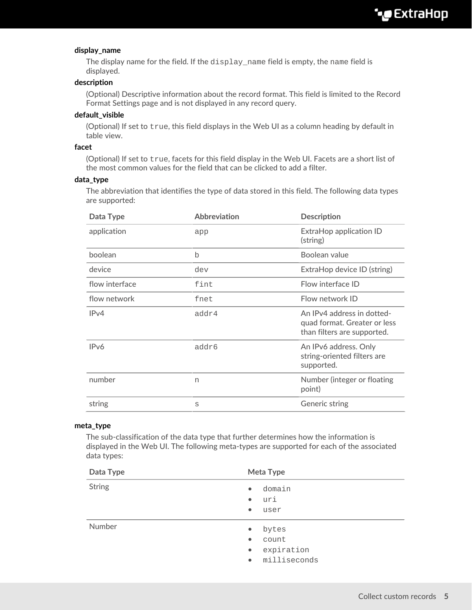#### **display\_name**

The display name for the field. If the display\_name field is empty, the name field is displayed.

#### **description**

(Optional) Descriptive information about the record format. This field is limited to the Record Format Settings page and is not displayed in any record query.

#### **default\_visible**

(Optional) If set to true, this field displays in the Web UI as a column heading by default in table view.

#### **facet**

(Optional) If set to true, facets for this field display in the Web UI. Facets are a short list of the most common values for the field that can be clicked to add a filter.

#### **data\_type**

The abbreviation that identifies the type of data stored in this field. The following data types are supported:

| Data Type         | <b>Abbreviation</b> | <b>Description</b>                                                                        |
|-------------------|---------------------|-------------------------------------------------------------------------------------------|
| application       | app                 | ExtraHop application ID<br>(string)                                                       |
| boolean           | b                   | Boolean value                                                                             |
| device            | dev                 | ExtraHop device ID (string)                                                               |
| flow interface    | fint                | Flow interface ID                                                                         |
| flow network      | fnet                | Flow network ID                                                                           |
| IPv4              | addr4               | An IPv4 address in dotted-<br>quad format. Greater or less<br>than filters are supported. |
| IP <sub>v</sub> 6 | addr6               | An IPv6 address. Only<br>string-oriented filters are<br>supported.                        |
| number            | n                   | Number (integer or floating<br>point)                                                     |
| string            | S                   | Generic string                                                                            |

#### **meta\_type**

The sub-classification of the data type that further determines how the information is displayed in the Web UI. The following meta-types are supported for each of the associated data types:

| Data Type     | Meta Type                                                                                        |
|---------------|--------------------------------------------------------------------------------------------------|
| <b>String</b> | domain<br>$\bullet$<br>uri<br>$\bullet$<br>user<br>$\bullet$                                     |
| Number        | bytes<br>$\bullet$<br>count<br>$\bullet$<br>expiration<br>$\bullet$<br>milliseconds<br>$\bullet$ |